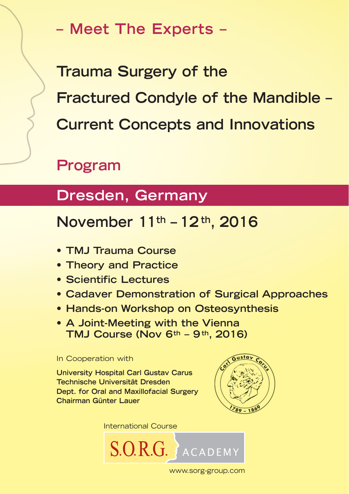**– Meet The Experts –**

**Trauma Surgery of the Fractured Condyle of the Mandible – Current Concepts and Innovations** 

# **Program**

# **Dresden, Germany**

## **November 11th – 12 th, 2016**

- **TMJ Trauma Course**
- **Theory and Practice**
- **Scientific Lectures**
- **Cadaver Demonstration of Surgical Approaches**
- **Hands-on Workshop on Osteosynthesis**
- **A Joint-Meeting with the Vienna TMJ Course (Nov 6th – 9th, 2016)**

### In Cooperation with

**University Hospital Carl Gustav Carus Technische Universität Dresden Dept. for Oral and Maxillofacial Surgery Chairman Günter Lauer**





www.sorg-group.com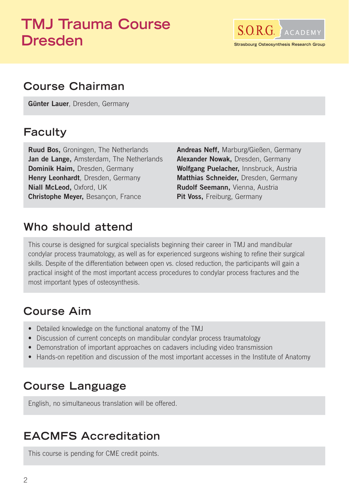# **TMJ Trauma Course Dresden**



## **Course Chairman**

**Günter Lauer**, Dresden, Germany

### **Faculty**

**Ruud Bos,** Groningen, The Netherlands **Jan de Lange,** Amsterdam, The Netherlands **Dominik Haim,** Dresden, Germany **Henry Leonhardt**, Dresden, Germany **Niall McLeod,** Oxford, UK **Christophe Meyer,** Besançon, France

**Andreas Neff,** Marburg/Gießen, Germany **Alexander Nowak,** Dresden, Germany **Wolfgang Puelacher,** Innsbruck, Austria **Matthias Schneider,** Dresden, Germany **Rudolf Seemann,** Vienna, Austria **Pit Voss,** Freiburg, Germany

### **Who should attend**

This course is designed for surgical specialists beginning their career in TMJ and mandibular condylar process traumatology, as well as for experienced surgeons wishing to refine their surgical skills. Despite of the differentiation between open vs. closed reduction, the participants will gain a practical insight of the most important access procedures to condylar process fractures and the most important types of osteosynthesis.

## **Course Aim**

- Detailed knowledge on the functional anatomy of the TMJ
- Discussion of current concepts on mandibular condylar process traumatology
- Demonstration of important approaches on cadavers including video transmission
- Hands-on repetition and discussion of the most important accesses in the Institute of Anatomy

## **Course Language**

English, no simultaneous translation will be offered.

## **EACMFS Accreditation**

This course is pending for CME credit points.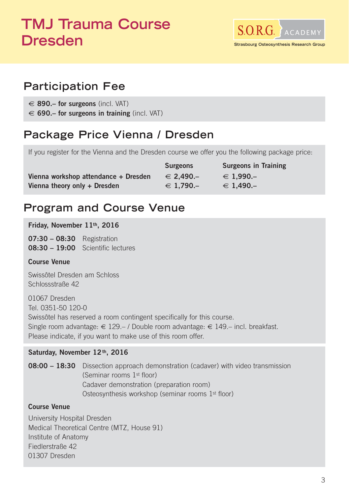# **TMJ Trauma Course Dresden**



## **Participation Fee**

€ **890.– for surgeons** (incl. VAT)

€ **690.– for surgeons in training** (incl. VAT)

## **Package Price Vienna / Dresden**

If you register for the Vienna and the Dresden course we offer you the following package price:

|                                      | <b>Surgeons</b>    | <b>Surgeons in Training</b> |
|--------------------------------------|--------------------|-----------------------------|
| Vienna workshop attendance + Dresden | $\epsilon$ 2.490.- | $∈ 1.990-$                  |
| Vienna theory only + Dresden         | $∈ 1.790-$         | $\epsilon$ 1.490.-          |

## **Program and Course Venue**

**Friday, November 11th, 2016** 

**07:30 – 08:30** Registration **08:30 – 19:00** Scientific lectures

### **Course Venue**

Swissôtel Dresden am Schloss Schlossstraße 42

01067 Dresden Tel. 0351-50 120-0 Swissôtel has reserved a room contingent specifically for this course. Single room advantage: € 129.– / Double room advantage: € 149.– incl. breakfast. Please indicate, if you want to make use of this room offer.

### Saturday, November 12<sup>th</sup>, 2016

**08:00 – 18:30** Dissection approach demonstration (cadaver) with video transmission (Seminar rooms 1st floor) Cadaver demonstration (preparation room) Osteosynthesis workshop (seminar rooms 1st floor)

### **Course Venue**

University Hospital Dresden Medical Theoretical Centre (MTZ, House 91) Institute of Anatomy Fiedlerstraße 42 01307 Dresden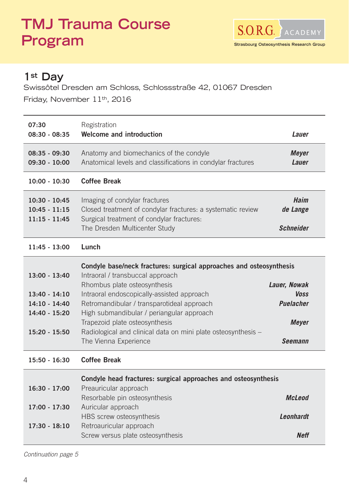# **TMJ Trauma Course Program**



### **1st Day**

Swissôtel Dresden am Schloss, Schlossstraße 42, 01067 Dresden Friday, November 11th, 2016

| 07:30<br>$08:30 - 08:35$                                                                  | Registration<br>Welcome and introduction                                                                                                                                                                                                                                                                                                                                                                     | Lauer                                                                             |
|-------------------------------------------------------------------------------------------|--------------------------------------------------------------------------------------------------------------------------------------------------------------------------------------------------------------------------------------------------------------------------------------------------------------------------------------------------------------------------------------------------------------|-----------------------------------------------------------------------------------|
| $08:35 - 09:30$<br>$09:30 - 10:00$                                                        | Anatomy and biomechanics of the condyle<br>Anatomical levels and classifications in condylar fractures                                                                                                                                                                                                                                                                                                       | <b>Meyer</b><br>Lauer                                                             |
| $10:00 - 10:30$                                                                           | <b>Coffee Break</b>                                                                                                                                                                                                                                                                                                                                                                                          |                                                                                   |
| $10:30 - 10:45$<br>$10:45 - 11:15$<br>$11:15 - 11:45$                                     | Imaging of condylar fractures<br>Closed treatment of condylar fractures: a systematic review<br>Surgical treatment of condylar fractures:<br>The Dresden Multicenter Study                                                                                                                                                                                                                                   | Haim<br>de Lange<br><b>Schneider</b>                                              |
| 11:45 - 13:00                                                                             | Lunch                                                                                                                                                                                                                                                                                                                                                                                                        |                                                                                   |
| $13:00 - 13:40$<br>$13:40 - 14:10$<br>$14:10 - 14:40$<br>14:40 - 15:20<br>$15:20 - 15:50$ | Condyle base/neck fractures: surgical approaches and osteosynthesis<br>Intraoral / transbuccal approach<br>Rhombus plate osteosynthesis<br>Intraoral endoscopically-assisted approach<br>Retromandibular / transparotideal approach<br>High submandibular / periangular approach<br>Trapezoid plate osteosynthesis<br>Radiological and clinical data on mini plate osteosynthesis -<br>The Vienna Experience | Lauer, Nowak<br><b>Voss</b><br><b>Puelacher</b><br><b>Meyer</b><br><b>Seemann</b> |
| 15:50 - 16:30                                                                             | <b>Coffee Break</b>                                                                                                                                                                                                                                                                                                                                                                                          |                                                                                   |
| $16:30 - 17:00$                                                                           | Condyle head fractures: surgical approaches and osteosynthesis<br>Preauricular approach                                                                                                                                                                                                                                                                                                                      |                                                                                   |
| 17:00 - 17:30                                                                             | Resorbable pin osteosynthesis<br>Auricular approach                                                                                                                                                                                                                                                                                                                                                          | <b>McLeod</b>                                                                     |
| $17:30 - 18:10$                                                                           | HBS screw osteosynthesis<br>Retroauricular approach                                                                                                                                                                                                                                                                                                                                                          | <b>Leonhardt</b>                                                                  |
|                                                                                           | Screw versus plate osteosynthesis                                                                                                                                                                                                                                                                                                                                                                            | <b>Neff</b>                                                                       |

Continuation page 5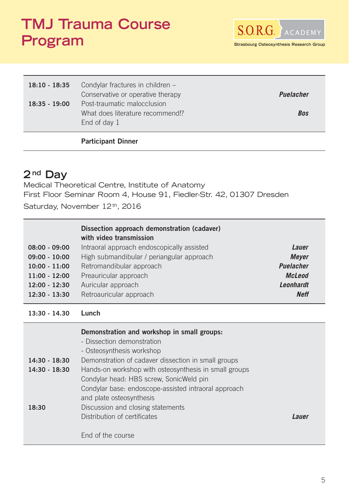# **TMJ Trauma Course Program**



| $18:10 - 18:35$ | Condylar fractures in children -<br>Conservative or operative therapy           | <b>Puelacher</b> |
|-----------------|---------------------------------------------------------------------------------|------------------|
| $18:35 - 19:00$ | Post-traumatic malocclusion<br>What does literature recommend!?<br>End of day 1 | Bos              |

### **Participant Dinner**

### **2 nd Day**

Medical Theoretical Centre, Institute of Anatomy First Floor Seminar Room 4, House 91, Fiedler-Str. 42, 01307 Dresden Saturday, November 12th, 2016

 **Dissection approach demonstration (cadaver) with video transmission 08:00 - 09:00** Intraoral approach endoscopically assisted *Lauer* **09:00 - 10:00** High submandibular / periangular approach *Meyer* **10:00 - 11:00** Retromandibular approach *Puelacher* **11:00 - 12:00** Preauricular approach *McLeod* **12:00 - 12:30** Auricular approach *Leonhardt* **12:30 - 13:30** Retroauricular approach *Neff*

**13:30 - 14.30 Lunch**

| $14:30 - 18:30$<br>$14:30 - 18:30$ | Demonstration and workshop in small groups:<br>- Dissection demonstration<br>- Osteosynthesis workshop<br>Demonstration of cadaver dissection in small groups<br>Hands-on workshop with osteosynthesis in small groups<br>Condylar head: HBS screw, SonicWeld pin<br>Condylar base: endoscope-assisted intraoral approach |              |
|------------------------------------|---------------------------------------------------------------------------------------------------------------------------------------------------------------------------------------------------------------------------------------------------------------------------------------------------------------------------|--------------|
| 18:30                              | and plate osteosynthesis<br>Discussion and closing statements<br>Distribution of certificates<br>End of the course                                                                                                                                                                                                        | <i>Lauer</i> |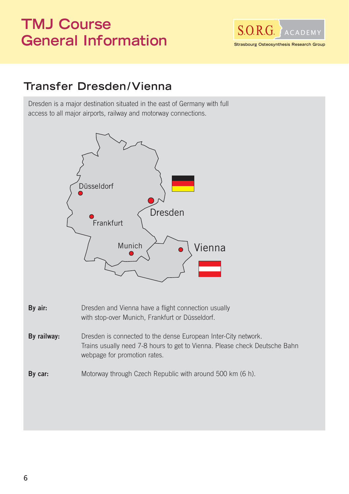# **TMJ Course General Information**



## **Transfer Dresden /Vienna**

Dresden is a major destination situated in the east of Germany with full access to all major airports, railway and motorway connections.

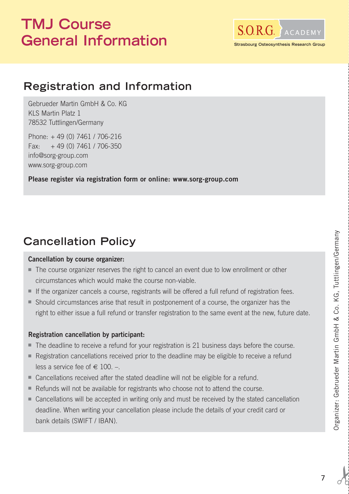# **TMJ Course**  General Information **Strasbourg Osteosynthesis Research**



## **Registration and Information**

Gebrueder Martin GmbH & Co. KG KLS Martin Platz 1 78532 Tuttlingen/Germany

Phone: + 49 (0) 7461 / 706-216 Fax:  $+49(0)$  7461 / 706-350 info@sorg-group.com www.sorg-group.com

**Please register via registration form or online: www.sorg-group.com**

## **Cancellation Policy**

#### **Cancellation by course organizer:**

- The course organizer reserves the right to cancel an event due to low enrollment or other circumstances which would make the course non-viable.
- If the organizer cancels a course, registrants will be offered a full refund of registration fees.
- Should circumstances arise that result in postponement of a course, the organizer has the right to either issue a full refund or transfer registration to the same event at the new, future date.

### **Registration cancellation by participant:**

- The deadline to receive a refund for your registration is 21 business days before the course.
- Registration cancellations received prior to the deadline may be eligible to receive a refund less a service fee of  $\in$  100. -.
- Cancellations received after the stated deadline will not be eligible for a refund.
- Refunds will not be available for registrants who choose not to attend the course.
- Cancellations will be accepted in writing only and must be received by the stated cancellation deadline. When writing your cancellation please include the details of your credit card or bank details (SWIFT / IBAN).

 $\overline{a}$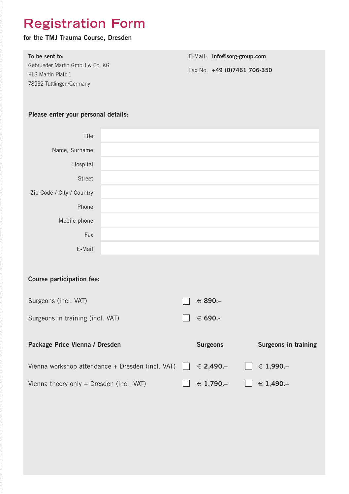# **Registration Form**

### **for the TMJ Trauma Course, Dresden**

| To be sent to:                 | E-Mail: info@sorg-group.com |  |
|--------------------------------|-----------------------------|--|
| Gebrueder Martin GmbH & Co. KG | Fax No. +49 (0)7461 706-350 |  |
| KI S Martin Platz 1            |                             |  |
| 78532 Tuttlingen/Germany       |                             |  |

### **Please enter your personal details:**

l<br>|<br>|

| Title                                            |  |                 |                      |
|--------------------------------------------------|--|-----------------|----------------------|
| Name, Surname                                    |  |                 |                      |
| Hospital                                         |  |                 |                      |
| <b>Street</b>                                    |  |                 |                      |
| Zip-Code / City / Country                        |  |                 |                      |
| Phone                                            |  |                 |                      |
| Mobile-phone                                     |  |                 |                      |
| Fax                                              |  |                 |                      |
| E-Mail                                           |  |                 |                      |
|                                                  |  |                 |                      |
| Course participation fee:                        |  |                 |                      |
| Surgeons (incl. VAT)                             |  | € 890.–         |                      |
| Surgeons in training (incl. VAT)                 |  | € 690.-         |                      |
|                                                  |  |                 |                      |
| Package Price Vienna / Dresden                   |  | <b>Surgeons</b> | Surgeons in training |
| Vienna workshop attendance + Dresden (incl. VAT) |  | € 2,490.–       | ∈ 1,990.–            |
| Vienna theory only + Dresden (incl. VAT)         |  | $∈ 1,790-$      | ∈ 1,490.–            |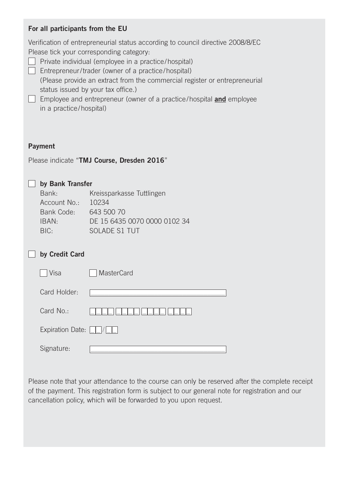### **For all participants from the EU**

Verification of entrepreneurial status according to council directive 2008/8/EC Please tick your corresponding category:  $\Box$  Private individual (employee in a practice/hospital)  $\Box$  Entrepreneur/trader (owner of a practice/hospital) (Please provide an extract from the commercial register or entrepreneurial status issued by your tax office.) Employee and entrepreneur (owner of a practice/hospital **and** employee in a practice/hospital) **Payment** Please indicate "**TMJ Course, Dresden 2016**" **by Bank Transfer**  Bank: Kreissparkasse Tuttlingen Account No.: 10234 Bank Code: 643 500 70 IBAN: DE 15 6435 0070 0000 0102 34 BIC: SOLADE S1 TUT **by Credit Card** □ Visa MasterCard Card Holder:  $Card No.:$   $\Box = \Box = \Box = \Box = \Box = \Box = \Box$ Expiration Date:  $\Box / \Box$ Signature:

Please note that your attendance to the course can only be reserved after the complete receipt of the payment. This registration form is subject to our general note for registration and our cancellation policy, which will be forwarded to you upon request.